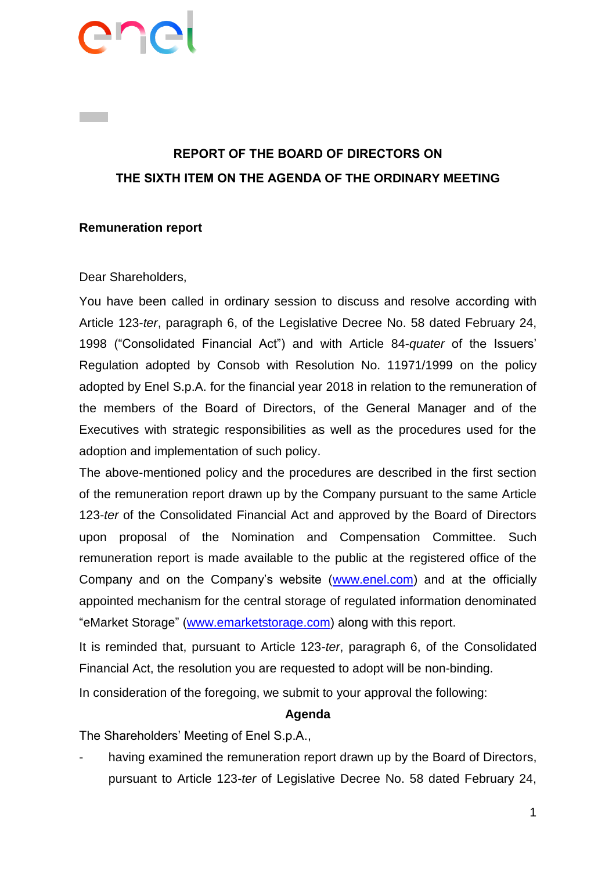# enc

## **REPORT OF THE BOARD OF DIRECTORS ON THE SIXTH ITEM ON THE AGENDA OF THE ORDINARY MEETING**

### **Remuneration report**

### Dear Shareholders,

You have been called in ordinary session to discuss and resolve according with Article 123-*ter*, paragraph 6, of the Legislative Decree No. 58 dated February 24, 1998 ("Consolidated Financial Act") and with Article 84-*quater* of the Issuers' Regulation adopted by Consob with Resolution No. 11971/1999 on the policy adopted by Enel S.p.A. for the financial year 2018 in relation to the remuneration of the members of the Board of Directors, of the General Manager and of the Executives with strategic responsibilities as well as the procedures used for the adoption and implementation of such policy.

The above-mentioned policy and the procedures are described in the first section of the remuneration report drawn up by the Company pursuant to the same Article 123-*ter* of the Consolidated Financial Act and approved by the Board of Directors upon proposal of the Nomination and Compensation Committee. Such remuneration report is made available to the public at the registered office of the Company and on the Company's website [\(www.enel.com\)](http://www.enel.com/) and at the officially appointed mechanism for the central storage of regulated information denominated "eMarket Storage" [\(www.emarketstorage.com\)](http://www.emarketstorage.com/) along with this report.

It is reminded that, pursuant to Article 123-*ter*, paragraph 6, of the Consolidated Financial Act, the resolution you are requested to adopt will be non-binding.

In consideration of the foregoing, we submit to your approval the following:

#### **Agenda**

The Shareholders' Meeting of Enel S.p.A.,

having examined the remuneration report drawn up by the Board of Directors, pursuant to Article 123-*ter* of Legislative Decree No. 58 dated February 24,